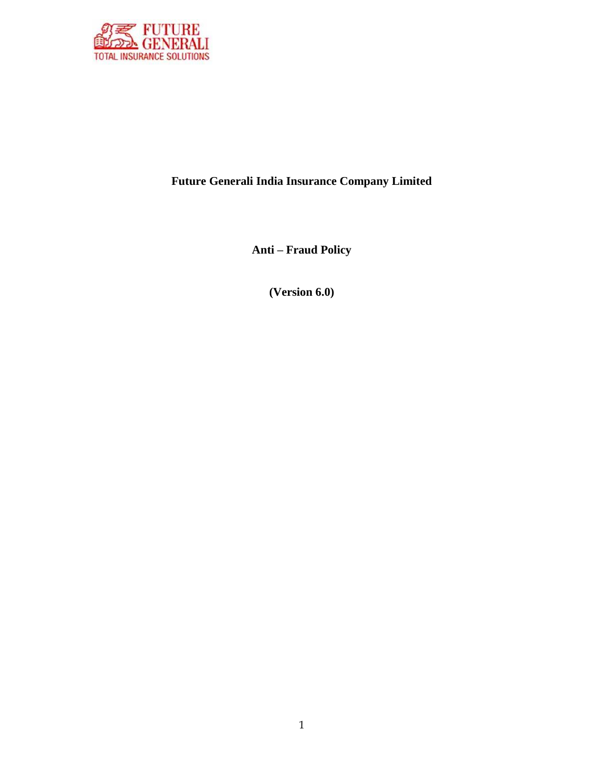

# **Future Generali India Insurance Company Limited**

**Anti – Fraud Policy**

**(Version 6.0)**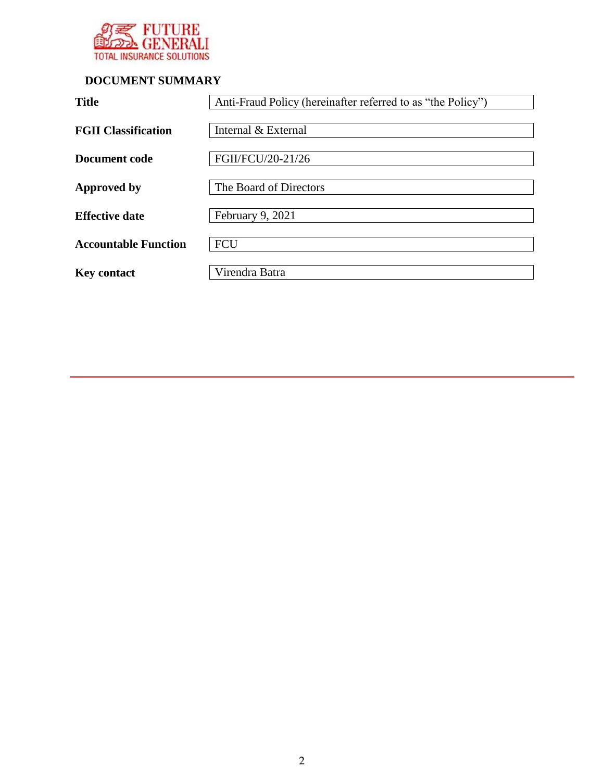

# **DOCUMENT SUMMARY**

| <b>Title</b>                | Anti-Fraud Policy (hereinafter referred to as "the Policy") |
|-----------------------------|-------------------------------------------------------------|
| <b>FGII Classification</b>  | Internal & External                                         |
| Document code               | FGII/FCU/20-21/26                                           |
| <b>Approved by</b>          | The Board of Directors                                      |
| <b>Effective date</b>       | February 9, 2021                                            |
| <b>Accountable Function</b> | <b>FCU</b>                                                  |
| <b>Key contact</b>          | Virendra Batra                                              |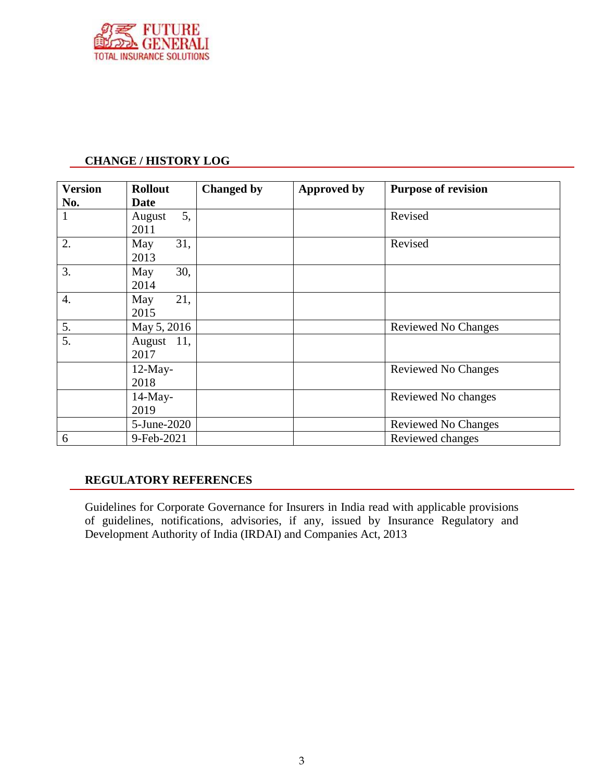

#### **CHANGE / HISTORY LOG**

| <b>Version</b> | <b>Rollout</b> | <b>Changed by</b> | <b>Approved by</b> | <b>Purpose of revision</b> |
|----------------|----------------|-------------------|--------------------|----------------------------|
| No.            | <b>Date</b>    |                   |                    |                            |
| 1              | 5,<br>August   |                   |                    | Revised                    |
|                | 2011           |                   |                    |                            |
| 2.             | 31,<br>May     |                   |                    | Revised                    |
|                | 2013           |                   |                    |                            |
| 3.             | 30,<br>May     |                   |                    |                            |
|                | 2014           |                   |                    |                            |
| 4.             | 21,<br>May     |                   |                    |                            |
|                | 2015           |                   |                    |                            |
| 5.             | May 5, 2016    |                   |                    | <b>Reviewed No Changes</b> |
| 5.             | 11,<br>August  |                   |                    |                            |
|                | 2017           |                   |                    |                            |
|                | $12$ -May-     |                   |                    | <b>Reviewed No Changes</b> |
|                | 2018           |                   |                    |                            |
|                | 14-May-        |                   |                    | Reviewed No changes        |
|                | 2019           |                   |                    |                            |
|                | 5-June-2020    |                   |                    | Reviewed No Changes        |
| 6              | 9-Feb-2021     |                   |                    | Reviewed changes           |

#### **REGULATORY REFERENCES**

Guidelines for Corporate Governance for Insurers in India read with applicable provisions of guidelines, notifications, advisories, if any, issued by Insurance Regulatory and Development Authority of India (IRDAI) and Companies Act, 2013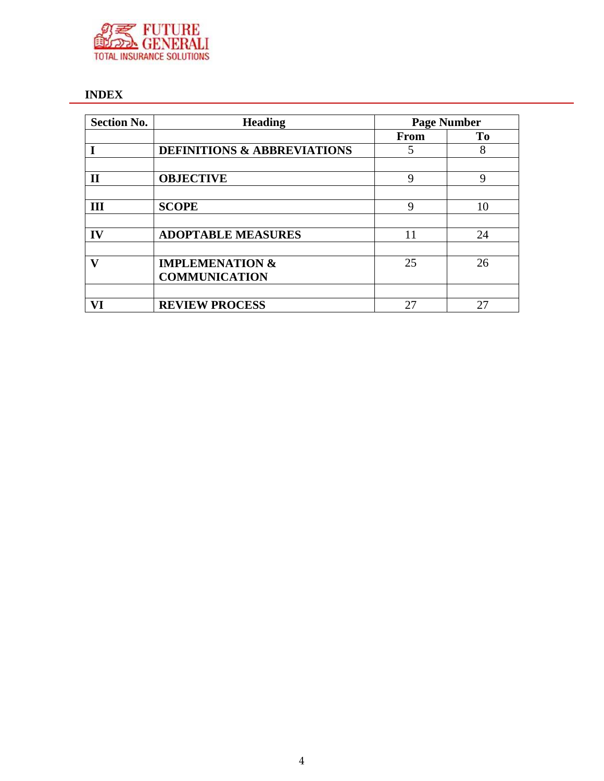

# **INDEX**

| <b>Section No.</b> | <b>Heading</b>                         | <b>Page Number</b> |    |  |
|--------------------|----------------------------------------|--------------------|----|--|
|                    |                                        | From               | To |  |
|                    | <b>DEFINITIONS &amp; ABBREVIATIONS</b> | 5                  | 8  |  |
|                    |                                        |                    |    |  |
| п                  | <b>OBJECTIVE</b>                       | 9                  | 9  |  |
|                    |                                        |                    |    |  |
| Ш                  | <b>SCOPE</b>                           | 9                  | 10 |  |
|                    |                                        |                    |    |  |
| IV                 | <b>ADOPTABLE MEASURES</b>              | 11                 | 24 |  |
|                    |                                        |                    |    |  |
| v                  | <b>IMPLEMENATION &amp;</b>             | 25                 | 26 |  |
|                    | <b>COMMUNICATION</b>                   |                    |    |  |
|                    |                                        |                    |    |  |
| VI                 | <b>REVIEW PROCESS</b>                  | 27                 | 27 |  |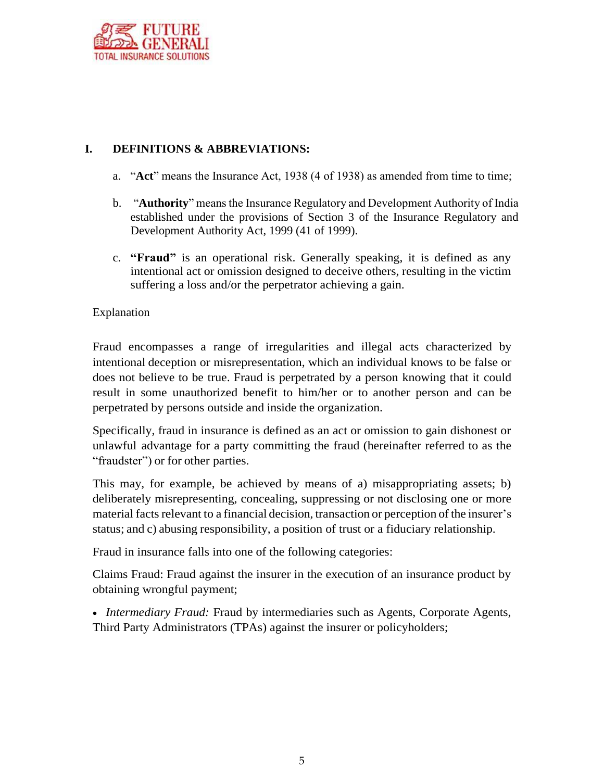

# **I. DEFINITIONS & ABBREVIATIONS:**

- a. "**Act**" means the Insurance Act, 1938 (4 of 1938) as amended from time to time;
- b. "**Authority**" means the Insurance Regulatory and Development Authority of India established under the provisions of Section 3 of the Insurance Regulatory and Development Authority Act, 1999 (41 of 1999).
- c. **"Fraud"** is an operational risk. Generally speaking, it is defined as any intentional act or omission designed to deceive others, resulting in the victim suffering a loss and/or the perpetrator achieving a gain.

#### Explanation

Fraud encompasses a range of irregularities and illegal acts characterized by intentional deception or misrepresentation, which an individual knows to be false or does not believe to be true. Fraud is perpetrated by a person knowing that it could result in some unauthorized benefit to him/her or to another person and can be perpetrated by persons outside and inside the organization.

Specifically, fraud in insurance is defined as an act or omission to gain dishonest or unlawful advantage for a party committing the fraud (hereinafter referred to as the "fraudster") or for other parties.

This may, for example, be achieved by means of a) misappropriating assets; b) deliberately misrepresenting, concealing, suppressing or not disclosing one or more material facts relevant to a financial decision, transaction or perception of the insurer's status; and c) abusing responsibility, a position of trust or a fiduciary relationship.

Fraud in insurance falls into one of the following categories:

Claims Fraud: Fraud against the insurer in the execution of an insurance product by obtaining wrongful payment;

 *Intermediary Fraud:* Fraud by intermediaries such as Agents, Corporate Agents, Third Party Administrators (TPAs) against the insurer or policyholders;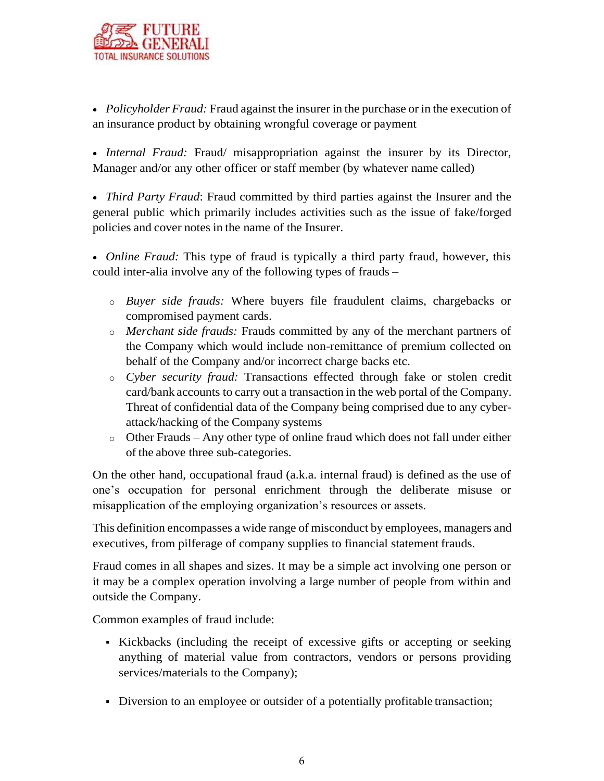

 *Policyholder Fraud:* Fraud against the insurer in the purchase or in the execution of an insurance product by obtaining wrongful coverage or payment

 *Internal Fraud:* Fraud/ misappropriation against the insurer by its Director, Manager and/or any other officer or staff member (by whatever name called)

 *Third Party Fraud*: Fraud committed by third parties against the Insurer and the general public which primarily includes activities such as the issue of fake/forged policies and cover notes in the name of the Insurer.

 *Online Fraud:* This type of fraud is typically a third party fraud, however, this could inter-alia involve any of the following types of frauds –

- o *Buyer side frauds:* Where buyers file fraudulent claims, chargebacks or compromised payment cards.
- o *Merchant side frauds:* Frauds committed by any of the merchant partners of the Company which would include non-remittance of premium collected on behalf of the Company and/or incorrect charge backs etc.
- o *Cyber security fraud:* Transactions effected through fake or stolen credit card/bank accounts to carry out a transaction in the web portal of the Company. Threat of confidential data of the Company being comprised due to any cyberattack/hacking of the Company systems
- o Other Frauds Any other type of online fraud which does not fall under either of the above three sub-categories.

On the other hand, occupational fraud (a.k.a. internal fraud) is defined as the use of one's occupation for personal enrichment through the deliberate misuse or misapplication of the employing organization's resources or assets.

This definition encompasses a wide range of misconduct by employees, managers and executives, from pilferage of company supplies to financial statement frauds.

Fraud comes in all shapes and sizes. It may be a simple act involving one person or it may be a complex operation involving a large number of people from within and outside the Company.

Common examples of fraud include:

- Kickbacks (including the receipt of excessive gifts or accepting or seeking anything of material value from contractors, vendors or persons providing services/materials to the Company);
- Diversion to an employee or outsider of a potentially profitable transaction;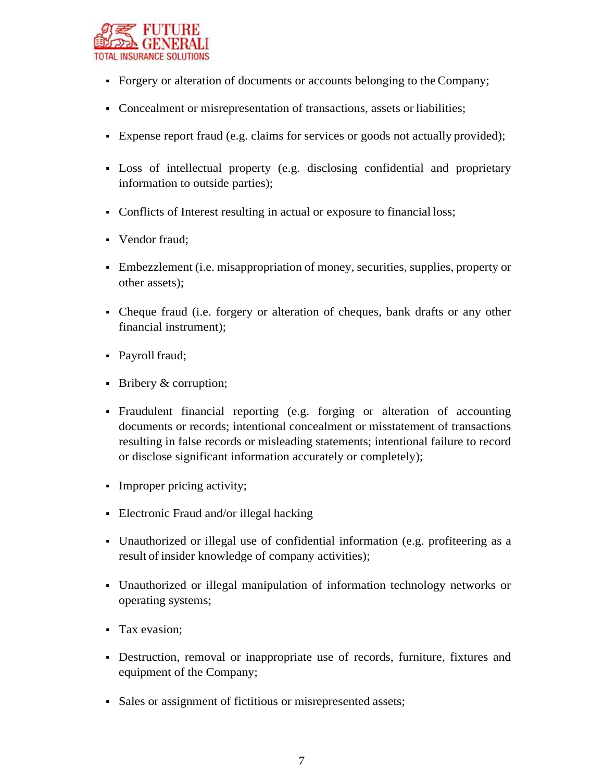

- Forgery or alteration of documents or accounts belonging to the Company;
- Concealment or misrepresentation of transactions, assets or liabilities;
- Expense report fraud (e.g. claims for services or goods not actually provided);
- Loss of intellectual property (e.g. disclosing confidential and proprietary information to outside parties);
- Conflicts of Interest resulting in actual or exposure to financial loss;
- Vendor fraud;
- Embezzlement (i.e. misappropriation of money, securities, supplies, property or other assets);
- Cheque fraud (i.e. forgery or alteration of cheques, bank drafts or any other financial instrument);
- Payroll fraud;
- Bribery & corruption;
- Fraudulent financial reporting (e.g. forging or alteration of accounting documents or records; intentional concealment or misstatement of transactions resulting in false records or misleading statements; intentional failure to record or disclose significant information accurately or completely);
- Improper pricing activity;
- Electronic Fraud and/or illegal hacking
- Unauthorized or illegal use of confidential information (e.g. profiteering as a result of insider knowledge of company activities);
- Unauthorized or illegal manipulation of information technology networks or operating systems;
- **Tax evasion:**
- Destruction, removal or inappropriate use of records, furniture, fixtures and equipment of the Company;
- Sales or assignment of fictitious or misrepresented assets;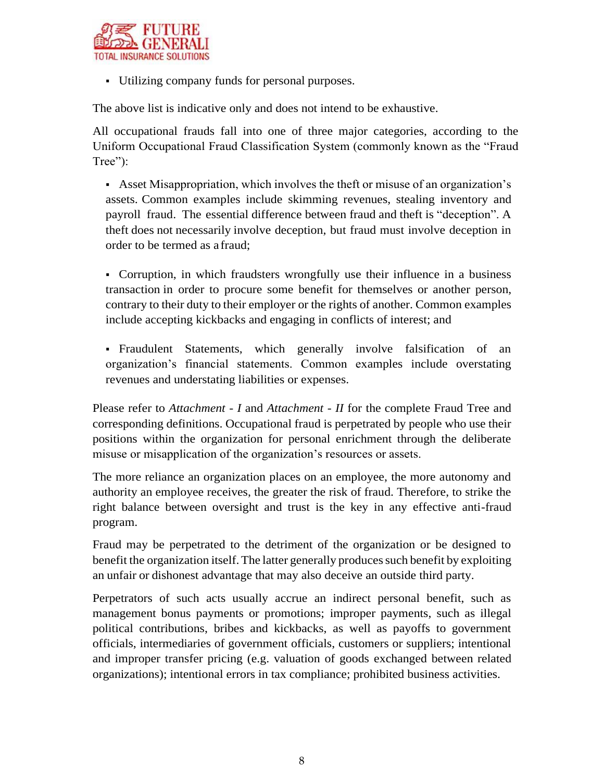

Utilizing company funds for personal purposes.

The above list is indicative only and does not intend to be exhaustive.

All occupational frauds fall into one of three major categories, according to the Uniform Occupational Fraud Classification System (commonly known as the "Fraud Tree":

 Asset Misappropriation, which involves the theft or misuse of an organization's assets. Common examples include skimming revenues, stealing inventory and payroll fraud. The essential difference between fraud and theft is "deception". A theft does not necessarily involve deception, but fraud must involve deception in order to be termed as a fraud;

 Corruption, in which fraudsters wrongfully use their influence in a business transaction in order to procure some benefit for themselves or another person, contrary to their duty to their employer or the rights of another. Common examples include accepting kickbacks and engaging in conflicts of interest; and

 Fraudulent Statements, which generally involve falsification of an organization's financial statements. Common examples include overstating revenues and understating liabilities or expenses.

Please refer to *Attachment - I* and *Attachment - II* for the complete Fraud Tree and corresponding definitions. Occupational fraud is perpetrated by people who use their positions within the organization for personal enrichment through the deliberate misuse or misapplication of the organization's resources or assets.

The more reliance an organization places on an employee, the more autonomy and authority an employee receives, the greater the risk of fraud. Therefore, to strike the right balance between oversight and trust is the key in any effective anti-fraud program.

Fraud may be perpetrated to the detriment of the organization or be designed to benefit the organization itself. The latter generally produces such benefit by exploiting an unfair or dishonest advantage that may also deceive an outside third party.

Perpetrators of such acts usually accrue an indirect personal benefit, such as management bonus payments or promotions; improper payments, such as illegal political contributions, bribes and kickbacks, as well as payoffs to government officials, intermediaries of government officials, customers or suppliers; intentional and improper transfer pricing (e.g. valuation of goods exchanged between related organizations); intentional errors in tax compliance; prohibited business activities.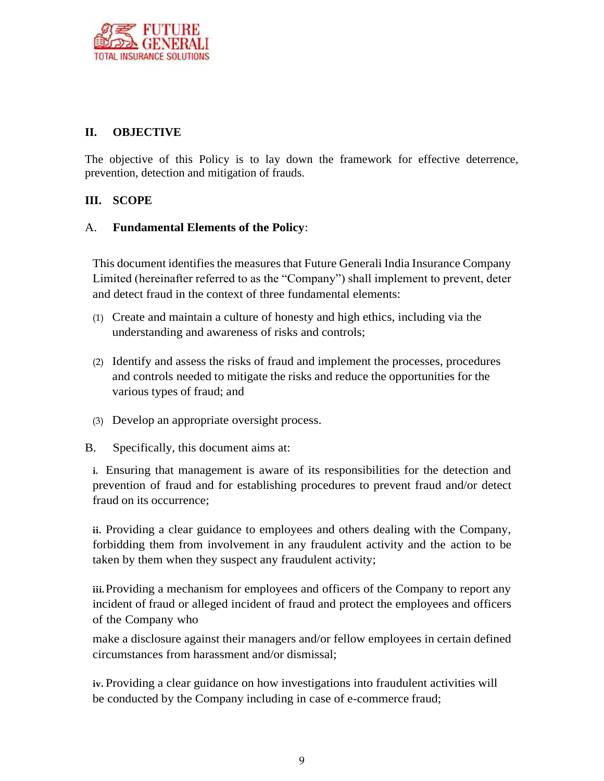

## **II. OBJECTIVE**

The objective of this Policy is to lay down the framework for effective deterrence, prevention, detection and mitigation of frauds.

## **III. SCOPE**

## A. **Fundamental Elements of the Policy**:

This document identifies the measures that Future Generali India Insurance Company Limited (hereinafter referred to as the "Company") shall implement to prevent, deter and detect fraud in the context of three fundamental elements:

- (1) Create and maintain a culture of honesty and high ethics, including via the understanding and awareness of risks and controls;
- (2) Identify and assess the risks of fraud and implement the processes, procedures and controls needed to mitigate the risks and reduce the opportunities for the various types of fraud; and
- (3) Develop an appropriate oversight process.
- B. Specifically, this document aims at:

**i.** Ensuring that management is aware of its responsibilities for the detection and prevention of fraud and for establishing procedures to prevent fraud and/or detect fraud on its occurrence;

**ii.** Providing a clear guidance to employees and others dealing with the Company, forbidding them from involvement in any fraudulent activity and the action to be taken by them when they suspect any fraudulent activity;

**iii.**Providing a mechanism for employees and officers of the Company to report any incident of fraud or alleged incident of fraud and protect the employees and officers of the Company who

make a disclosure against their managers and/or fellow employees in certain defined circumstances from harassment and/or dismissal;

**iv.** Providing a clear guidance on how investigations into fraudulent activities will be conducted by the Company including in case of e-commerce fraud;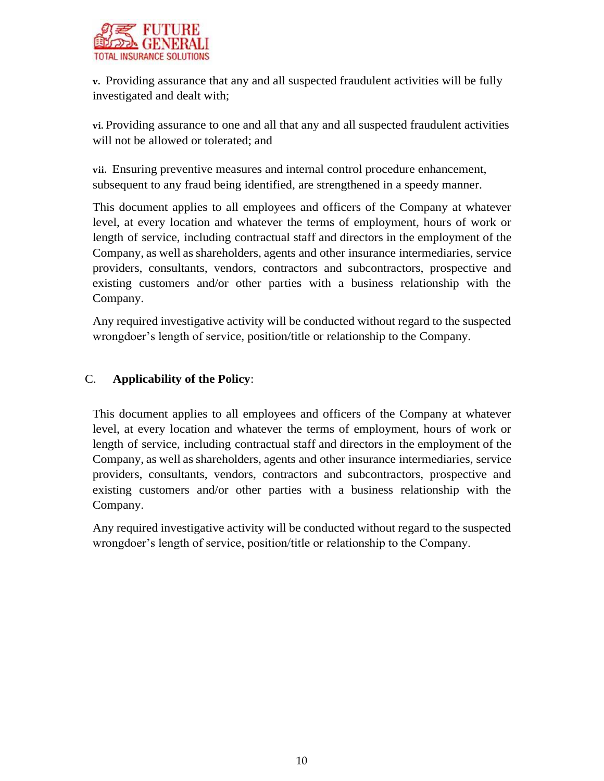

**v.** Providing assurance that any and all suspected fraudulent activities will be fully investigated and dealt with;

**vi.** Providing assurance to one and all that any and all suspected fraudulent activities will not be allowed or tolerated; and

**vii.** Ensuring preventive measures and internal control procedure enhancement, subsequent to any fraud being identified, are strengthened in a speedy manner.

This document applies to all employees and officers of the Company at whatever level, at every location and whatever the terms of employment, hours of work or length of service, including contractual staff and directors in the employment of the Company, as well as shareholders, agents and other insurance intermediaries, service providers, consultants, vendors, contractors and subcontractors, prospective and existing customers and/or other parties with a business relationship with the Company.

Any required investigative activity will be conducted without regard to the suspected wrongdoer's length of service, position/title or relationship to the Company.

## C. **Applicability of the Policy**:

This document applies to all employees and officers of the Company at whatever level, at every location and whatever the terms of employment, hours of work or length of service, including contractual staff and directors in the employment of the Company, as well as shareholders, agents and other insurance intermediaries, service providers, consultants, vendors, contractors and subcontractors, prospective and existing customers and/or other parties with a business relationship with the Company.

Any required investigative activity will be conducted without regard to the suspected wrongdoer's length of service, position/title or relationship to the Company.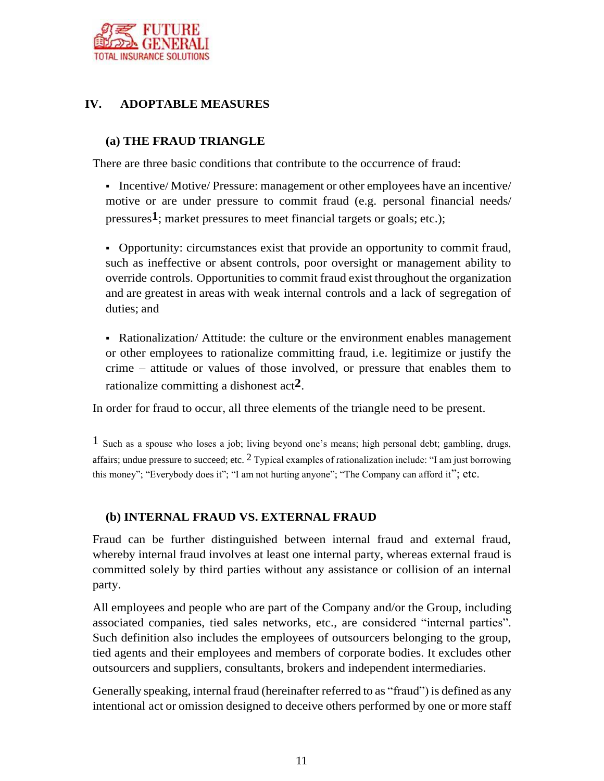

# **IV. ADOPTABLE MEASURES**

## **(a) THE FRAUD TRIANGLE**

There are three basic conditions that contribute to the occurrence of fraud:

Incentive/Motive/Pressure: management or other employees have an incentive/ motive or are under pressure to commit fraud (e.g. personal financial needs/ pressures**1**; market pressures to meet financial targets or goals; etc.);

 Opportunity: circumstances exist that provide an opportunity to commit fraud, such as ineffective or absent controls, poor oversight or management ability to override controls. Opportunities to commit fraud exist throughout the organization and are greatest in areas with weak internal controls and a lack of segregation of duties; and

 Rationalization/ Attitude: the culture or the environment enables management or other employees to rationalize committing fraud, i.e. legitimize or justify the crime – attitude or values of those involved, or pressure that enables them to rationalize committing a dishonest act**2**.

In order for fraud to occur, all three elements of the triangle need to be present.

1 Such as a spouse who loses a job; living beyond one's means; high personal debt; gambling, drugs, affairs; undue pressure to succeed; etc.  $2$  Typical examples of rationalization include: "I am just borrowing this money"; "Everybody does it"; "I am not hurting anyone"; "The Company can afford it"; etc.

#### **(b) INTERNAL FRAUD VS. EXTERNAL FRAUD**

Fraud can be further distinguished between internal fraud and external fraud, whereby internal fraud involves at least one internal party, whereas external fraud is committed solely by third parties without any assistance or collision of an internal party.

All employees and people who are part of the Company and/or the Group, including associated companies, tied sales networks, etc., are considered "internal parties". Such definition also includes the employees of outsourcers belonging to the group, tied agents and their employees and members of corporate bodies. It excludes other outsourcers and suppliers, consultants, brokers and independent intermediaries.

Generally speaking, internal fraud (hereinafter referred to as "fraud") is defined as any intentional act or omission designed to deceive others performed by one or more staff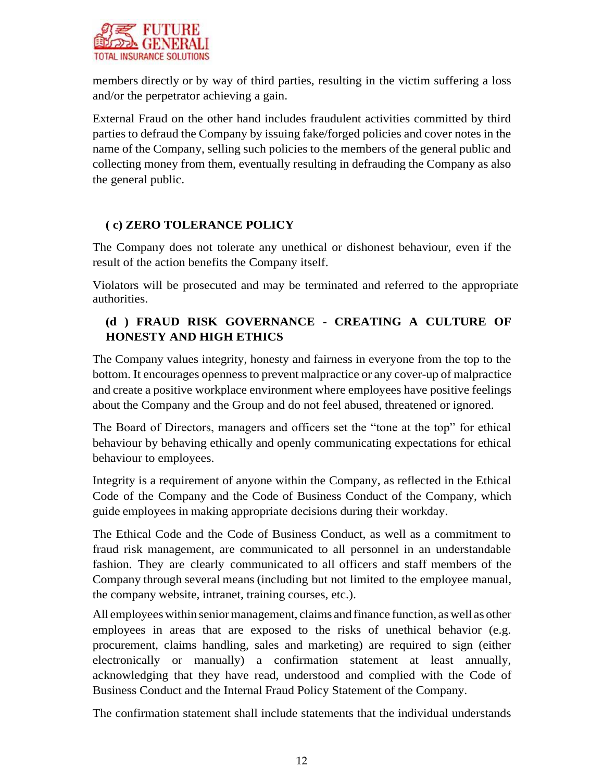

members directly or by way of third parties, resulting in the victim suffering a loss and/or the perpetrator achieving a gain.

External Fraud on the other hand includes fraudulent activities committed by third parties to defraud the Company by issuing fake/forged policies and cover notes in the name of the Company, selling such policies to the members of the general public and collecting money from them, eventually resulting in defrauding the Company as also the general public.

## **( c) ZERO TOLERANCE POLICY**

The Company does not tolerate any unethical or dishonest behaviour, even if the result of the action benefits the Company itself.

Violators will be prosecuted and may be terminated and referred to the appropriate authorities.

# **(d ) FRAUD RISK GOVERNANCE - CREATING A CULTURE OF HONESTY AND HIGH ETHICS**

The Company values integrity, honesty and fairness in everyone from the top to the bottom. It encourages opennessto prevent malpractice or any cover-up of malpractice and create a positive workplace environment where employees have positive feelings about the Company and the Group and do not feel abused, threatened or ignored.

The Board of Directors, managers and officers set the "tone at the top" for ethical behaviour by behaving ethically and openly communicating expectations for ethical behaviour to employees.

Integrity is a requirement of anyone within the Company, as reflected in the Ethical Code of the Company and the Code of Business Conduct of the Company, which guide employees in making appropriate decisions during their workday.

The Ethical Code and the Code of Business Conduct, as well as a commitment to fraud risk management, are communicated to all personnel in an understandable fashion. They are clearly communicated to all officers and staff members of the Company through several means (including but not limited to the employee manual, the company website, intranet, training courses, etc.).

All employees within senior management, claims and finance function, as well as other employees in areas that are exposed to the risks of unethical behavior (e.g. procurement, claims handling, sales and marketing) are required to sign (either electronically or manually) a confirmation statement at least annually, acknowledging that they have read, understood and complied with the Code of Business Conduct and the Internal Fraud Policy Statement of the Company.

The confirmation statement shall include statements that the individual understands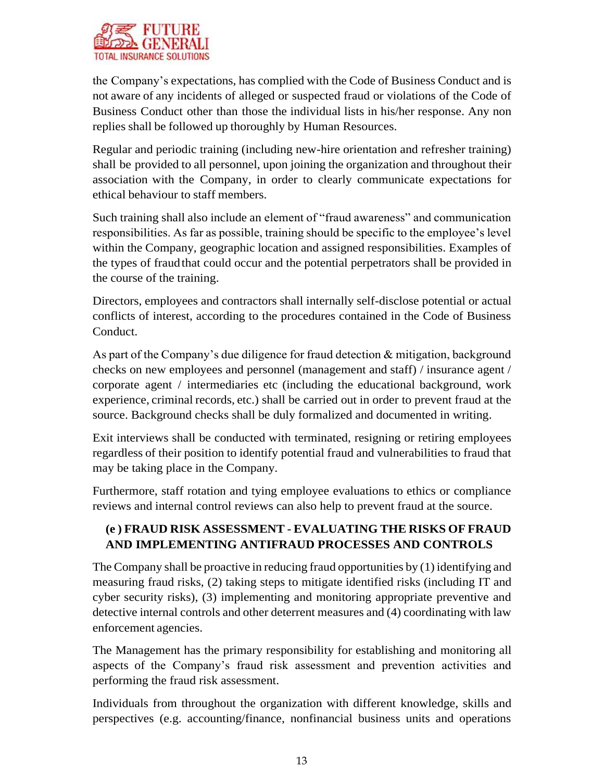

the Company's expectations, has complied with the Code of Business Conduct and is not aware of any incidents of alleged or suspected fraud or violations of the Code of Business Conduct other than those the individual lists in his/her response. Any non replies shall be followed up thoroughly by Human Resources.

Regular and periodic training (including new-hire orientation and refresher training) shall be provided to all personnel, upon joining the organization and throughout their association with the Company, in order to clearly communicate expectations for ethical behaviour to staff members.

Such training shall also include an element of "fraud awareness" and communication responsibilities. As far as possible, training should be specific to the employee's level within the Company, geographic location and assigned responsibilities. Examples of the types of fraudthat could occur and the potential perpetrators shall be provided in the course of the training.

Directors, employees and contractors shall internally self-disclose potential or actual conflicts of interest, according to the procedures contained in the Code of Business Conduct.

As part of the Company's due diligence for fraud detection & mitigation, background checks on new employees and personnel (management and staff) / insurance agent / corporate agent / intermediaries etc (including the educational background, work experience, criminal records, etc.) shall be carried out in order to prevent fraud at the source. Background checks shall be duly formalized and documented in writing.

Exit interviews shall be conducted with terminated, resigning or retiring employees regardless of their position to identify potential fraud and vulnerabilities to fraud that may be taking place in the Company.

Furthermore, staff rotation and tying employee evaluations to ethics or compliance reviews and internal control reviews can also help to prevent fraud at the source.

# **(e ) FRAUD RISK ASSESSMENT - EVALUATING THE RISKS OF FRAUD AND IMPLEMENTING ANTIFRAUD PROCESSES AND CONTROLS**

The Company shall be proactive in reducing fraud opportunities by (1) identifying and measuring fraud risks, (2) taking steps to mitigate identified risks (including IT and cyber security risks), (3) implementing and monitoring appropriate preventive and detective internal controls and other deterrent measures and (4) coordinating with law enforcement agencies.

The Management has the primary responsibility for establishing and monitoring all aspects of the Company's fraud risk assessment and prevention activities and performing the fraud risk assessment.

Individuals from throughout the organization with different knowledge, skills and perspectives (e.g. accounting/finance, nonfinancial business units and operations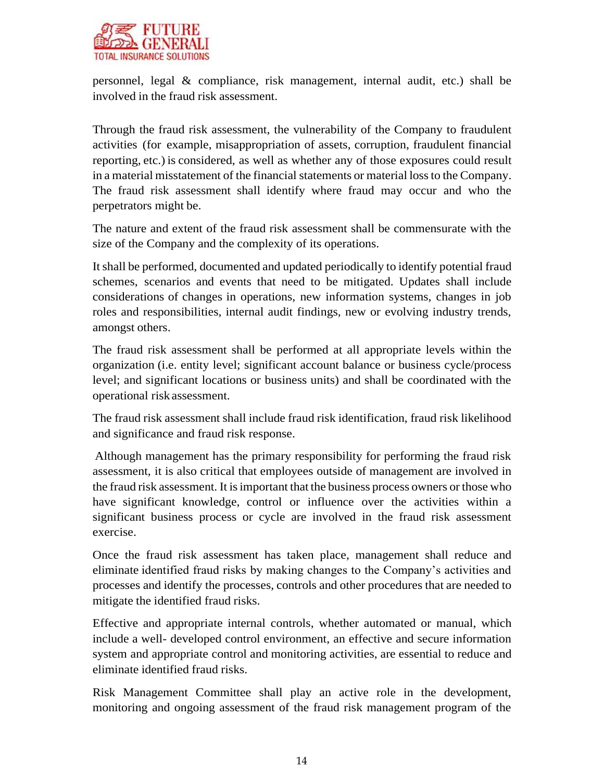

personnel, legal & compliance, risk management, internal audit, etc.) shall be involved in the fraud risk assessment.

Through the fraud risk assessment, the vulnerability of the Company to fraudulent activities (for example, misappropriation of assets, corruption, fraudulent financial reporting, etc.) is considered, as well as whether any of those exposures could result in a material misstatement of the financial statements or material lossto the Company. The fraud risk assessment shall identify where fraud may occur and who the perpetrators might be.

The nature and extent of the fraud risk assessment shall be commensurate with the size of the Company and the complexity of its operations.

Itshall be performed, documented and updated periodically to identify potential fraud schemes, scenarios and events that need to be mitigated. Updates shall include considerations of changes in operations, new information systems, changes in job roles and responsibilities, internal audit findings, new or evolving industry trends, amongst others.

The fraud risk assessment shall be performed at all appropriate levels within the organization (i.e. entity level; significant account balance or business cycle/process level; and significant locations or business units) and shall be coordinated with the operational riskassessment.

The fraud risk assessment shall include fraud risk identification, fraud risk likelihood and significance and fraud risk response.

Although management has the primary responsibility for performing the fraud risk assessment, it is also critical that employees outside of management are involved in the fraud risk assessment. It isimportant that the business process owners orthose who have significant knowledge, control or influence over the activities within a significant business process or cycle are involved in the fraud risk assessment exercise.

Once the fraud risk assessment has taken place, management shall reduce and eliminate identified fraud risks by making changes to the Company's activities and processes and identify the processes, controls and other procedures that are needed to mitigate the identified fraud risks.

Effective and appropriate internal controls, whether automated or manual, which include a well- developed control environment, an effective and secure information system and appropriate control and monitoring activities, are essential to reduce and eliminate identified fraud risks.

Risk Management Committee shall play an active role in the development, monitoring and ongoing assessment of the fraud risk management program of the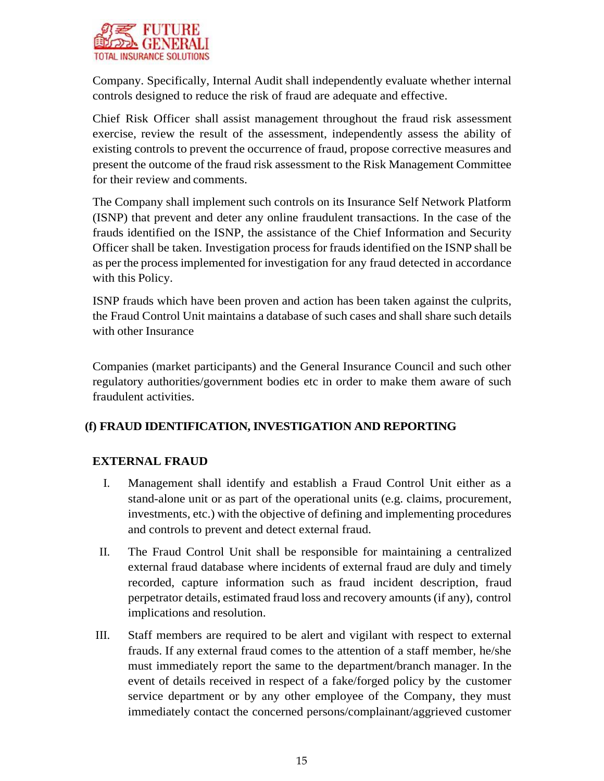

Company. Specifically, Internal Audit shall independently evaluate whether internal controls designed to reduce the risk of fraud are adequate and effective.

Chief Risk Officer shall assist management throughout the fraud risk assessment exercise, review the result of the assessment, independently assess the ability of existing controls to prevent the occurrence of fraud, propose corrective measures and present the outcome of the fraud risk assessment to the Risk Management Committee for their review and comments.

The Company shall implement such controls on its Insurance Self Network Platform (ISNP) that prevent and deter any online fraudulent transactions. In the case of the frauds identified on the ISNP, the assistance of the Chief Information and Security Officer shall be taken. Investigation process for fraudsidentified on the ISNP shall be as per the processimplemented for investigation for any fraud detected in accordance with this Policy.

ISNP frauds which have been proven and action has been taken against the culprits, the Fraud Control Unit maintains a database of such cases and shall share such details with other Insurance

Companies (market participants) and the General Insurance Council and such other regulatory authorities/government bodies etc in order to make them aware of such fraudulent activities.

## **(f) FRAUD IDENTIFICATION, INVESTIGATION AND REPORTING**

## **EXTERNAL FRAUD**

- I. Management shall identify and establish a Fraud Control Unit either as a stand-alone unit or as part of the operational units (e.g. claims, procurement, investments, etc.) with the objective of defining and implementing procedures and controls to prevent and detect external fraud.
- II. The Fraud Control Unit shall be responsible for maintaining a centralized external fraud database where incidents of external fraud are duly and timely recorded, capture information such as fraud incident description, fraud perpetrator details, estimated fraud loss and recovery amounts(if any), control implications and resolution.
- III. Staff members are required to be alert and vigilant with respect to external frauds. If any external fraud comes to the attention of a staff member, he/she must immediately report the same to the department/branch manager. In the event of details received in respect of a fake/forged policy by the customer service department or by any other employee of the Company, they must immediately contact the concerned persons/complainant/aggrieved customer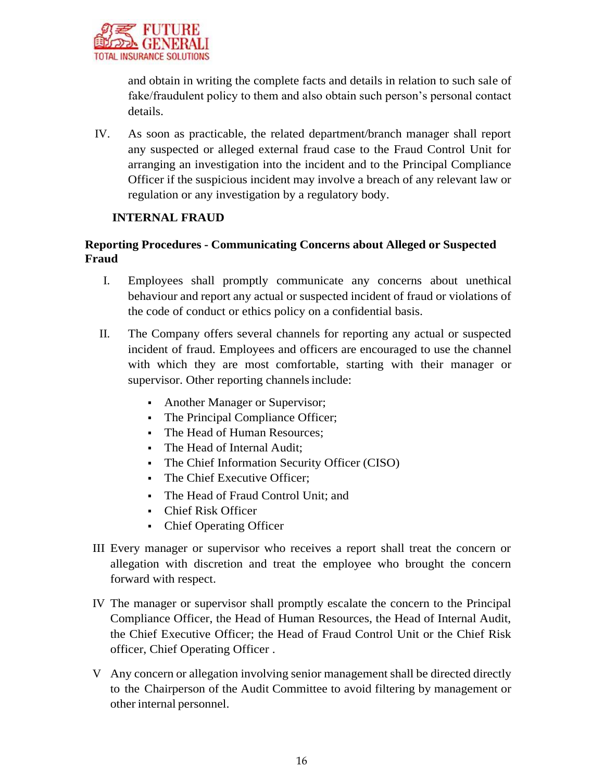

and obtain in writing the complete facts and details in relation to such sale of fake/fraudulent policy to them and also obtain such person's personal contact details.

IV. As soon as practicable, the related department/branch manager shall report any suspected or alleged external fraud case to the Fraud Control Unit for arranging an investigation into the incident and to the Principal Compliance Officer if the suspicious incident may involve a breach of any relevant law or regulation or any investigation by a regulatory body.

#### **INTERNAL FRAUD**

## **Reporting Procedures - Communicating Concerns about Alleged or Suspected Fraud**

- I. Employees shall promptly communicate any concerns about unethical behaviour and report any actual or suspected incident of fraud or violations of the code of conduct or ethics policy on a confidential basis.
- II. The Company offers several channels for reporting any actual or suspected incident of fraud. Employees and officers are encouraged to use the channel with which they are most comfortable, starting with their manager or supervisor. Other reporting channels include:
	- Another Manager or Supervisor;
	- The Principal Compliance Officer;
	- The Head of Human Resources:
	- The Head of Internal Audit;
	- The Chief Information Security Officer (CISO)
	- The Chief Executive Officer;
	- The Head of Fraud Control Unit; and
	- Chief Risk Officer
	- Chief Operating Officer
- III Every manager or supervisor who receives a report shall treat the concern or allegation with discretion and treat the employee who brought the concern forward with respect.
- IV The manager or supervisor shall promptly escalate the concern to the Principal Compliance Officer, the Head of Human Resources, the Head of Internal Audit, the Chief Executive Officer; the Head of Fraud Control Unit or the Chief Risk officer, Chief Operating Officer .
- V Any concern or allegation involving senior management shall be directed directly to the Chairperson of the Audit Committee to avoid filtering by management or other internal personnel.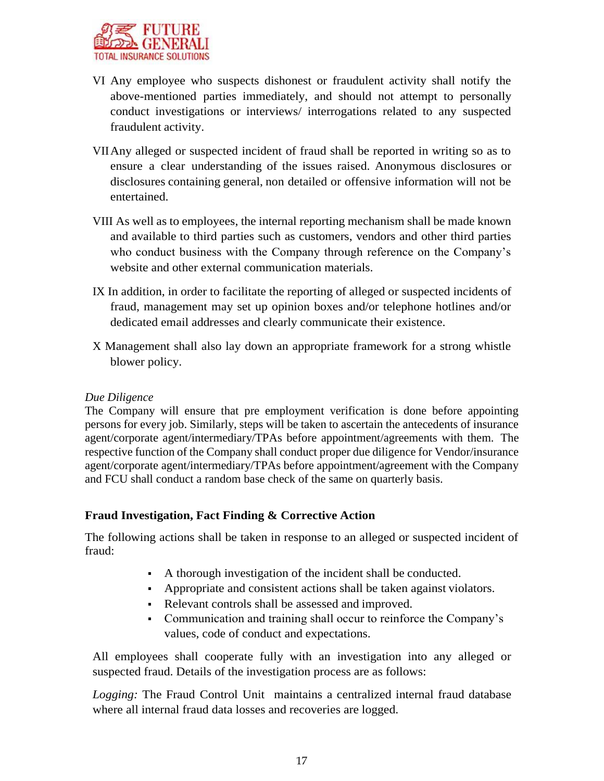

- VI Any employee who suspects dishonest or fraudulent activity shall notify the above-mentioned parties immediately, and should not attempt to personally conduct investigations or interviews/ interrogations related to any suspected fraudulent activity.
- VIIAny alleged or suspected incident of fraud shall be reported in writing so as to ensure a clear understanding of the issues raised. Anonymous disclosures or disclosures containing general, non detailed or offensive information will not be entertained.
- VIII As well as to employees, the internal reporting mechanism shall be made known and available to third parties such as customers, vendors and other third parties who conduct business with the Company through reference on the Company's website and other external communication materials.
- IX In addition, in order to facilitate the reporting of alleged or suspected incidents of fraud, management may set up opinion boxes and/or telephone hotlines and/or dedicated email addresses and clearly communicate their existence.
- X Management shall also lay down an appropriate framework for a strong whistle blower policy.

#### *Due Diligence*

The Company will ensure that pre employment verification is done before appointing persons for every job. Similarly, steps will be taken to ascertain the antecedents of insurance agent/corporate agent/intermediary/TPAs before appointment/agreements with them. The respective function of the Company shall conduct proper due diligence for Vendor/insurance agent/corporate agent/intermediary/TPAs before appointment/agreement with the Company and FCU shall conduct a random base check of the same on quarterly basis.

## **Fraud Investigation, Fact Finding & Corrective Action**

The following actions shall be taken in response to an alleged or suspected incident of fraud:

- A thorough investigation of the incident shall be conducted.
- Appropriate and consistent actions shall be taken against violators.
- Relevant controls shall be assessed and improved.
- Communication and training shall occur to reinforce the Company's values, code of conduct and expectations.

All employees shall cooperate fully with an investigation into any alleged or suspected fraud. Details of the investigation process are as follows:

*Logging:* The Fraud Control Unit maintains a centralized internal fraud database where all internal fraud data losses and recoveries are logged.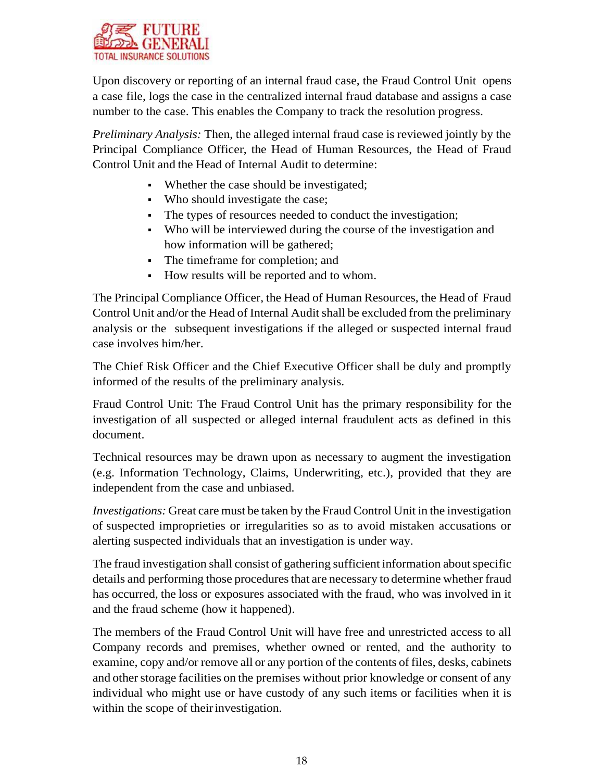

Upon discovery or reporting of an internal fraud case, the Fraud Control Unit opens a case file, logs the case in the centralized internal fraud database and assigns a case number to the case. This enables the Company to track the resolution progress.

*Preliminary Analysis:* Then, the alleged internal fraud case is reviewed jointly by the Principal Compliance Officer, the Head of Human Resources, the Head of Fraud Control Unit and the Head of Internal Audit to determine:

- Whether the case should be investigated;
- Who should investigate the case;
- The types of resources needed to conduct the investigation;
- Who will be interviewed during the course of the investigation and how information will be gathered;
- The timeframe for completion; and
- How results will be reported and to whom.

The Principal Compliance Officer, the Head of Human Resources, the Head of Fraud Control Unit and/or the Head of Internal Audit shall be excluded from the preliminary analysis or the subsequent investigations if the alleged or suspected internal fraud case involves him/her.

The Chief Risk Officer and the Chief Executive Officer shall be duly and promptly informed of the results of the preliminary analysis.

Fraud Control Unit: The Fraud Control Unit has the primary responsibility for the investigation of all suspected or alleged internal fraudulent acts as defined in this document.

Technical resources may be drawn upon as necessary to augment the investigation (e.g. Information Technology, Claims, Underwriting, etc.), provided that they are independent from the case and unbiased.

*Investigations:* Great care must be taken by the Fraud Control Unit in the investigation of suspected improprieties or irregularities so as to avoid mistaken accusations or alerting suspected individuals that an investigation is under way.

The fraud investigation shall consist of gathering sufficient information about specific details and performing those proceduresthat are necessary to determine whether fraud has occurred, the loss or exposures associated with the fraud, who was involved in it and the fraud scheme (how it happened).

The members of the Fraud Control Unit will have free and unrestricted access to all Company records and premises, whether owned or rented, and the authority to examine, copy and/or remove all or any portion of the contents of files, desks, cabinets and other storage facilities on the premises without prior knowledge or consent of any individual who might use or have custody of any such items or facilities when it is within the scope of their investigation.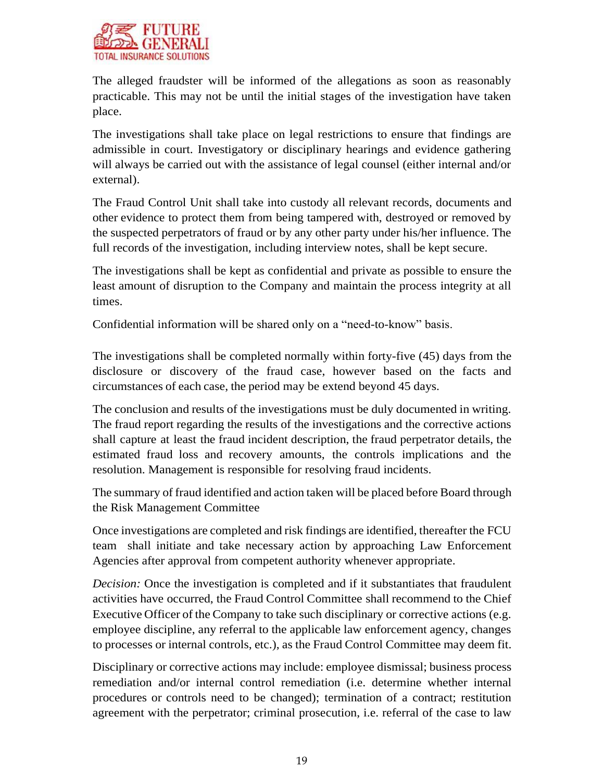

The alleged fraudster will be informed of the allegations as soon as reasonably practicable. This may not be until the initial stages of the investigation have taken place.

The investigations shall take place on legal restrictions to ensure that findings are admissible in court. Investigatory or disciplinary hearings and evidence gathering will always be carried out with the assistance of legal counsel (either internal and/or external).

The Fraud Control Unit shall take into custody all relevant records, documents and other evidence to protect them from being tampered with, destroyed or removed by the suspected perpetrators of fraud or by any other party under his/her influence. The full records of the investigation, including interview notes, shall be kept secure.

The investigations shall be kept as confidential and private as possible to ensure the least amount of disruption to the Company and maintain the process integrity at all times.

Confidential information will be shared only on a "need-to-know" basis.

The investigations shall be completed normally within forty-five (45) days from the disclosure or discovery of the fraud case, however based on the facts and circumstances of each case, the period may be extend beyond 45 days.

The conclusion and results of the investigations must be duly documented in writing. The fraud report regarding the results of the investigations and the corrective actions shall capture at least the fraud incident description, the fraud perpetrator details, the estimated fraud loss and recovery amounts, the controls implications and the resolution. Management is responsible for resolving fraud incidents.

The summary of fraud identified and action taken will be placed before Board through the Risk Management Committee

Once investigations are completed and risk findings are identified, thereafter the FCU team shall initiate and take necessary action by approaching Law Enforcement Agencies after approval from competent authority whenever appropriate.

*Decision:* Once the investigation is completed and if it substantiates that fraudulent activities have occurred, the Fraud Control Committee shall recommend to the Chief Executive Officer of the Company to take such disciplinary or corrective actions (e.g. employee discipline, any referral to the applicable law enforcement agency, changes to processes or internal controls, etc.), as the Fraud Control Committee may deem fit.

Disciplinary or corrective actions may include: employee dismissal; business process remediation and/or internal control remediation (i.e. determine whether internal procedures or controls need to be changed); termination of a contract; restitution agreement with the perpetrator; criminal prosecution, i.e. referral of the case to law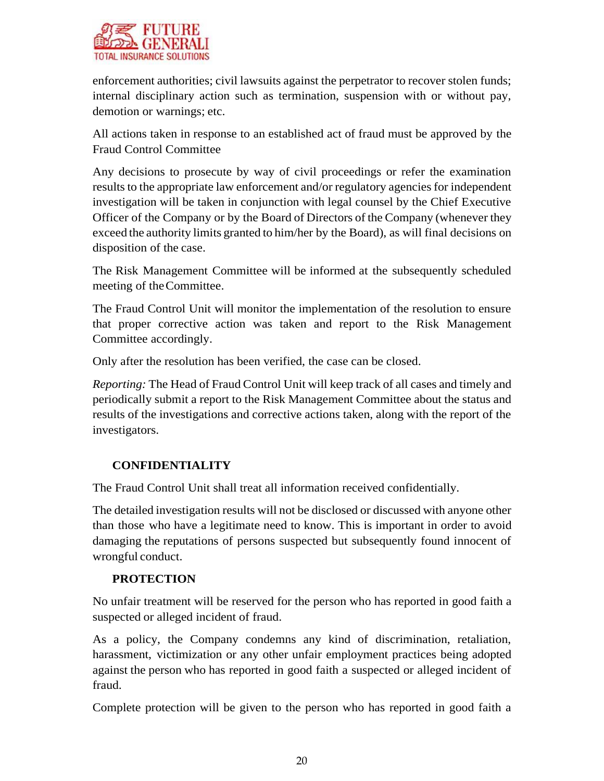

enforcement authorities; civil lawsuits against the perpetrator to recover stolen funds; internal disciplinary action such as termination, suspension with or without pay, demotion or warnings; etc.

All actions taken in response to an established act of fraud must be approved by the Fraud Control Committee

Any decisions to prosecute by way of civil proceedings or refer the examination results to the appropriate law enforcement and/or regulatory agencies for independent investigation will be taken in conjunction with legal counsel by the Chief Executive Officer of the Company or by the Board of Directors of the Company (whenever they exceed the authority limits granted to him/her by the Board), as will final decisions on disposition of the case.

The Risk Management Committee will be informed at the subsequently scheduled meeting of theCommittee.

The Fraud Control Unit will monitor the implementation of the resolution to ensure that proper corrective action was taken and report to the Risk Management Committee accordingly.

Only after the resolution has been verified, the case can be closed.

*Reporting:* The Head of Fraud Control Unit will keep track of all cases and timely and periodically submit a report to the Risk Management Committee about the status and results of the investigations and corrective actions taken, along with the report of the investigators.

## **CONFIDENTIALITY**

The Fraud Control Unit shall treat all information received confidentially.

The detailed investigation results will not be disclosed or discussed with anyone other than those who have a legitimate need to know. This is important in order to avoid damaging the reputations of persons suspected but subsequently found innocent of wrongful conduct.

## **PROTECTION**

No unfair treatment will be reserved for the person who has reported in good faith a suspected or alleged incident of fraud.

As a policy, the Company condemns any kind of discrimination, retaliation, harassment, victimization or any other unfair employment practices being adopted against the person who has reported in good faith a suspected or alleged incident of fraud.

Complete protection will be given to the person who has reported in good faith a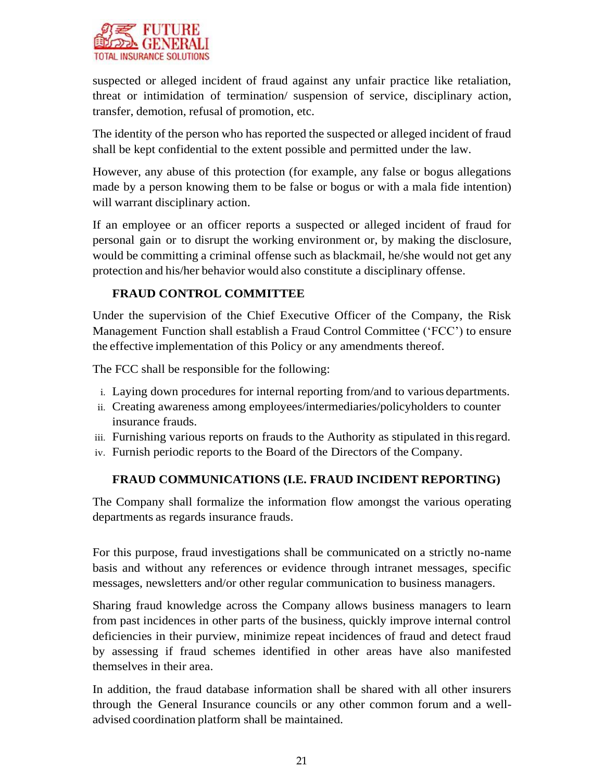

suspected or alleged incident of fraud against any unfair practice like retaliation, threat or intimidation of termination/ suspension of service, disciplinary action, transfer, demotion, refusal of promotion, etc.

The identity of the person who has reported the suspected or alleged incident of fraud shall be kept confidential to the extent possible and permitted under the law.

However, any abuse of this protection (for example, any false or bogus allegations made by a person knowing them to be false or bogus or with a mala fide intention) will warrant disciplinary action.

If an employee or an officer reports a suspected or alleged incident of fraud for personal gain or to disrupt the working environment or, by making the disclosure, would be committing a criminal offense such as blackmail, he/she would not get any protection and his/her behavior would also constitute a disciplinary offense.

# **FRAUD CONTROL COMMITTEE**

Under the supervision of the Chief Executive Officer of the Company, the Risk Management Function shall establish a Fraud Control Committee ('FCC') to ensure the effective implementation of this Policy or any amendments thereof.

The FCC shall be responsible for the following:

- i. Laying down procedures for internal reporting from/and to various departments.
- ii. Creating awareness among employees/intermediaries/policyholders to counter insurance frauds.
- iii. Furnishing various reports on frauds to the Authority as stipulated in thisregard.
- iv. Furnish periodic reports to the Board of the Directors of the Company.

## **FRAUD COMMUNICATIONS (I.E. FRAUD INCIDENT REPORTING)**

The Company shall formalize the information flow amongst the various operating departments as regards insurance frauds.

For this purpose, fraud investigations shall be communicated on a strictly no-name basis and without any references or evidence through intranet messages, specific messages, newsletters and/or other regular communication to business managers.

Sharing fraud knowledge across the Company allows business managers to learn from past incidences in other parts of the business, quickly improve internal control deficiencies in their purview, minimize repeat incidences of fraud and detect fraud by assessing if fraud schemes identified in other areas have also manifested themselves in their area.

In addition, the fraud database information shall be shared with all other insurers through the General Insurance councils or any other common forum and a welladvised coordination platform shall be maintained.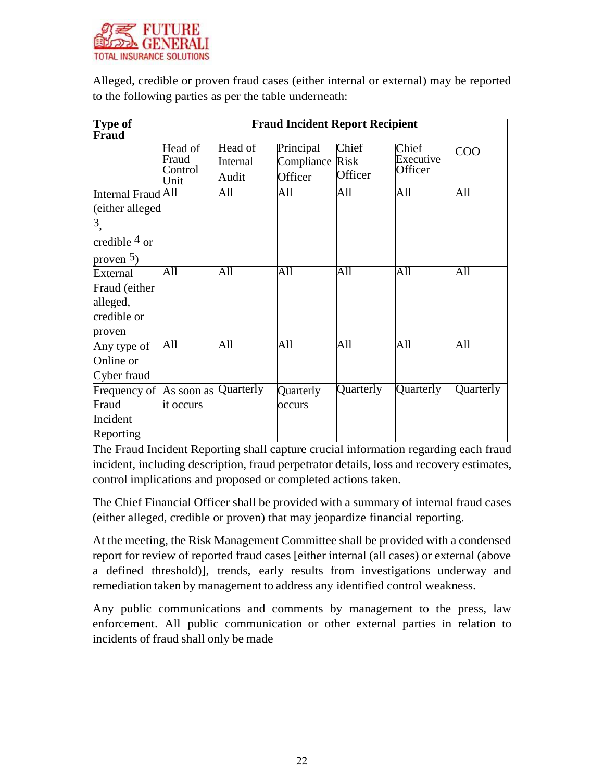

Alleged, credible or proven fraud cases (either internal or external) may be reported to the following parties as per the table underneath:

| <b>Type of</b><br>Fraud                                               | <b>Fraud Incident Report Recipient</b> |                              |                                         |                  |                               |           |  |
|-----------------------------------------------------------------------|----------------------------------------|------------------------------|-----------------------------------------|------------------|-------------------------------|-----------|--|
|                                                                       | Head of<br>Fraud<br>Control<br>Unit    | Head of<br>Internal<br>Audit | Principal<br>Compliance Risk<br>Officer | Chief<br>Officer | Chief<br>Executive<br>Officer | COO       |  |
| Internal Fraud All                                                    |                                        | All                          | All                                     | All              | All                           | All       |  |
| (either alleged<br>3,<br>credible $4 \text{ or }$<br>proven $5$ )     |                                        |                              |                                         |                  |                               |           |  |
| External<br>Fraud (either<br>alleged,<br>credible or<br>proven        | All                                    | All                          | All                                     | All              | All                           | All       |  |
| Any type of<br>Online or<br>Cyber fraud                               | All                                    | All                          | All                                     | All              | $\overline{All}$              | All       |  |
| Frequency of  As soon as  Quarterly<br>Fraud<br>Incident<br>Reporting | it occurs                              |                              | Quarterly<br>occurs                     | Quarterly        | Quarterly                     | Quarterly |  |

The Fraud Incident Reporting shall capture crucial information regarding each fraud incident, including description, fraud perpetrator details, loss and recovery estimates, control implications and proposed or completed actions taken.

The Chief Financial Officer shall be provided with a summary of internal fraud cases (either alleged, credible or proven) that may jeopardize financial reporting.

At the meeting, the Risk Management Committee shall be provided with a condensed report for review of reported fraud cases [either internal (all cases) or external (above a defined threshold)], trends, early results from investigations underway and remediation taken by management to address any identified control weakness.

Any public communications and comments by management to the press, law enforcement. All public communication or other external parties in relation to incidents of fraud shall only be made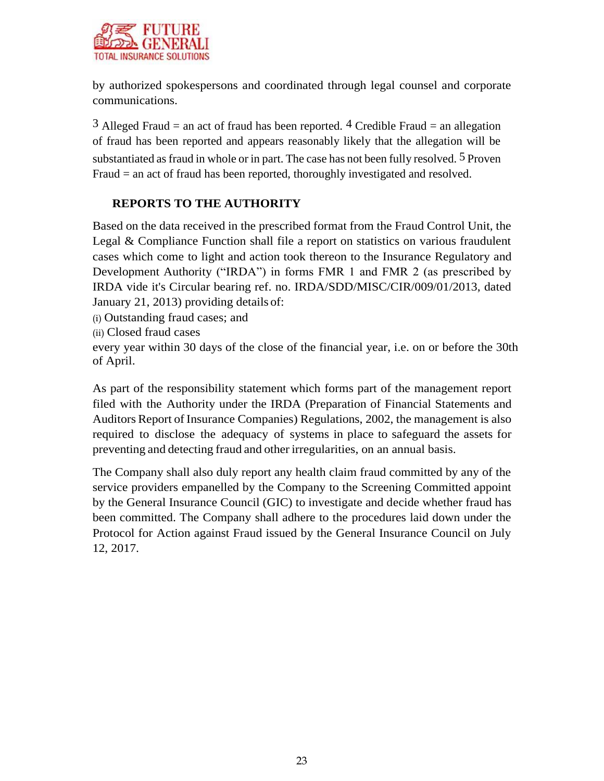

by authorized spokespersons and coordinated through legal counsel and corporate communications.

 $3$  Alleged Fraud = an act of fraud has been reported.  $4$  Credible Fraud = an allegation of fraud has been reported and appears reasonably likely that the allegation will be substantiated as fraud in whole or in part. The case has not been fully resolved. 5 Proven Fraud = an act of fraud has been reported, thoroughly investigated and resolved.

# **REPORTS TO THE AUTHORITY**

Based on the data received in the prescribed format from the Fraud Control Unit, the Legal & Compliance Function shall file a report on statistics on various fraudulent cases which come to light and action took thereon to the Insurance Regulatory and Development Authority ("IRDA") in forms FMR 1 and FMR 2 (as prescribed by IRDA vide it's Circular bearing ref. no. IRDA/SDD/MISC/CIR/009/01/2013, dated January 21, 2013) providing details of:

(i) Outstanding fraud cases; and

(ii) Closed fraud cases

every year within 30 days of the close of the financial year, i.e. on or before the 30th of April.

As part of the responsibility statement which forms part of the management report filed with the Authority under the IRDA (Preparation of Financial Statements and Auditors Report of Insurance Companies) Regulations, 2002, the management is also required to disclose the adequacy of systems in place to safeguard the assets for preventing and detecting fraud and other irregularities, on an annual basis.

The Company shall also duly report any health claim fraud committed by any of the service providers empanelled by the Company to the Screening Committed appoint by the General Insurance Council (GIC) to investigate and decide whether fraud has been committed. The Company shall adhere to the procedures laid down under the Protocol for Action against Fraud issued by the General Insurance Council on July 12, 2017.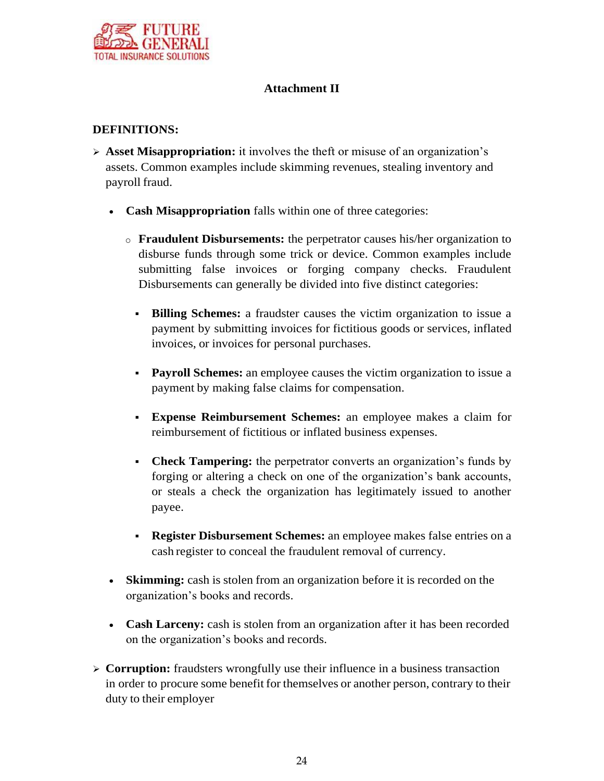

## **Attachment II**

#### **DEFINITIONS:**

- **Asset Misappropriation:** it involves the theft or misuse of an organization's assets. Common examples include skimming revenues, stealing inventory and payroll fraud.
	- **Cash Misappropriation** falls within one of three categories:
		- o **Fraudulent Disbursements:** the perpetrator causes his/her organization to disburse funds through some trick or device. Common examples include submitting false invoices or forging company checks. Fraudulent Disbursements can generally be divided into five distinct categories:
			- **Billing Schemes:** a fraudster causes the victim organization to issue a payment by submitting invoices for fictitious goods or services, inflated invoices, or invoices for personal purchases.
			- **Payroll Schemes:** an employee causes the victim organization to issue a payment by making false claims for compensation.
			- **Expense Reimbursement Schemes:** an employee makes a claim for reimbursement of fictitious or inflated business expenses.
			- **Check Tampering:** the perpetrator converts an organization's funds by forging or altering a check on one of the organization's bank accounts, or steals a check the organization has legitimately issued to another payee.
			- **Register Disbursement Schemes:** an employee makes false entries on a cash register to conceal the fraudulent removal of currency.
	- **Skimming:** cash is stolen from an organization before it is recorded on the organization's books and records.
	- **Cash Larceny:** cash is stolen from an organization after it has been recorded on the organization's books and records.
- **Corruption:** fraudsters wrongfully use their influence in a business transaction in order to procure some benefit for themselves or another person, contrary to their duty to their employer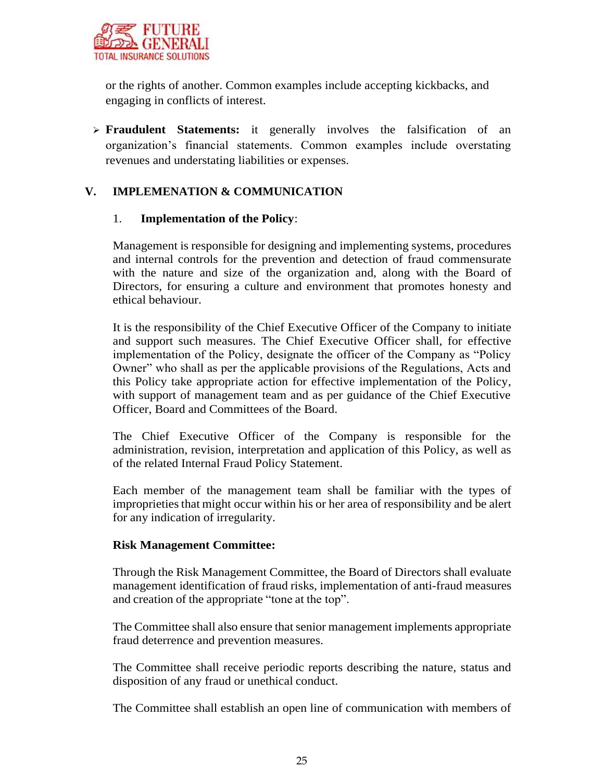

or the rights of another. Common examples include accepting kickbacks, and engaging in conflicts of interest.

 **Fraudulent Statements:** it generally involves the falsification of an organization's financial statements. Common examples include overstating revenues and understating liabilities or expenses.

#### **V. IMPLEMENATION & COMMUNICATION**

#### 1. **Implementation of the Policy**:

Management is responsible for designing and implementing systems, procedures and internal controls for the prevention and detection of fraud commensurate with the nature and size of the organization and, along with the Board of Directors, for ensuring a culture and environment that promotes honesty and ethical behaviour.

It is the responsibility of the Chief Executive Officer of the Company to initiate and support such measures. The Chief Executive Officer shall, for effective implementation of the Policy, designate the officer of the Company as "Policy Owner" who shall as per the applicable provisions of the Regulations, Acts and this Policy take appropriate action for effective implementation of the Policy, with support of management team and as per guidance of the Chief Executive Officer, Board and Committees of the Board.

The Chief Executive Officer of the Company is responsible for the administration, revision, interpretation and application of this Policy, as well as of the related Internal Fraud Policy Statement.

Each member of the management team shall be familiar with the types of improprieties that might occur within his or her area of responsibility and be alert for any indication of irregularity.

#### **Risk Management Committee:**

Through the Risk Management Committee, the Board of Directors shall evaluate management identification of fraud risks, implementation of anti-fraud measures and creation of the appropriate "tone at the top".

The Committee shall also ensure that senior management implements appropriate fraud deterrence and prevention measures.

The Committee shall receive periodic reports describing the nature, status and disposition of any fraud or unethical conduct.

The Committee shall establish an open line of communication with members of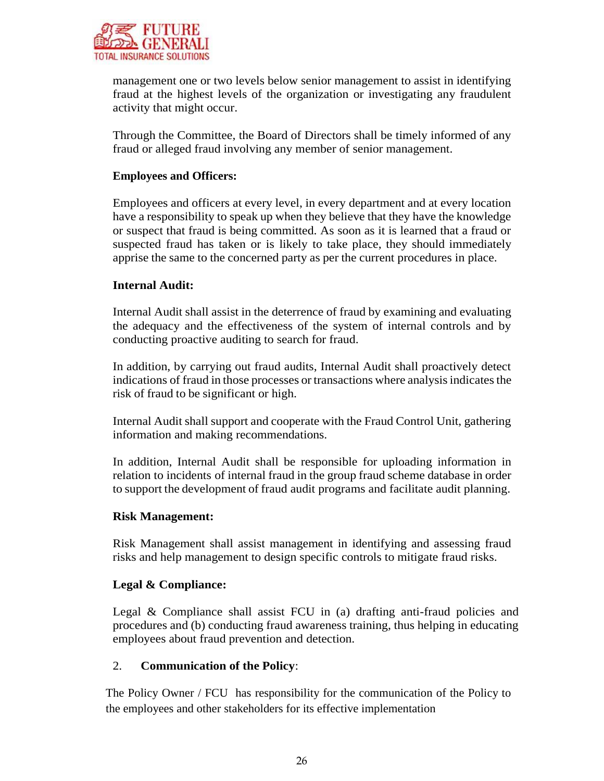

management one or two levels below senior management to assist in identifying fraud at the highest levels of the organization or investigating any fraudulent activity that might occur.

Through the Committee, the Board of Directors shall be timely informed of any fraud or alleged fraud involving any member of senior management.

#### **Employees and Officers:**

Employees and officers at every level, in every department and at every location have a responsibility to speak up when they believe that they have the knowledge or suspect that fraud is being committed. As soon as it is learned that a fraud or suspected fraud has taken or is likely to take place, they should immediately apprise the same to the concerned party as per the current procedures in place.

#### **Internal Audit:**

Internal Audit shall assist in the deterrence of fraud by examining and evaluating the adequacy and the effectiveness of the system of internal controls and by conducting proactive auditing to search for fraud.

In addition, by carrying out fraud audits, Internal Audit shall proactively detect indications of fraud in those processes or transactions where analysis indicates the risk of fraud to be significant or high.

Internal Audit shall support and cooperate with the Fraud Control Unit, gathering information and making recommendations.

In addition, Internal Audit shall be responsible for uploading information in relation to incidents of internal fraud in the group fraud scheme database in order to support the development of fraud audit programs and facilitate audit planning.

#### **Risk Management:**

Risk Management shall assist management in identifying and assessing fraud risks and help management to design specific controls to mitigate fraud risks.

#### **Legal & Compliance:**

Legal & Compliance shall assist FCU in (a) drafting anti-fraud policies and procedures and (b) conducting fraud awareness training, thus helping in educating employees about fraud prevention and detection.

#### 2. **Communication of the Policy**:

The Policy Owner / FCU has responsibility for the communication of the Policy to the employees and other stakeholders for its effective implementation